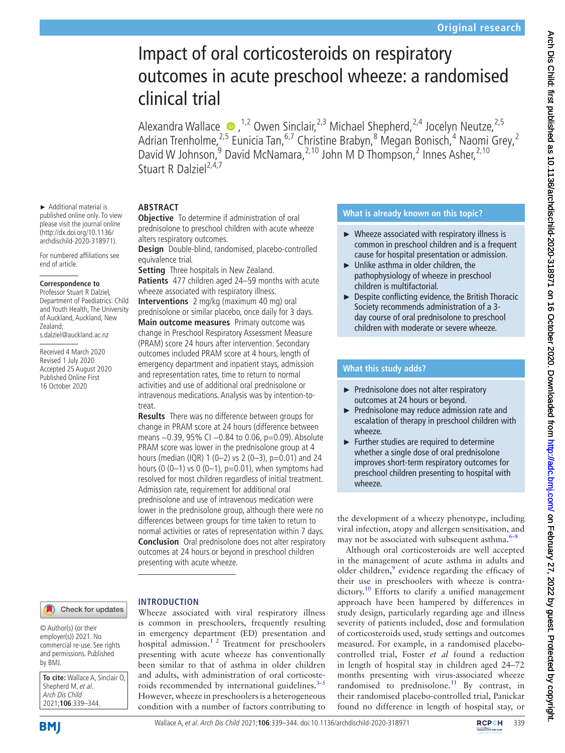# Impact of oral corticosteroids on respiratory outcomes in acute preschool wheeze: a randomised clinical trial

AlexandraWallace  $\bullet$ , <sup>1,2</sup> Owen Sinclair, <sup>2,3</sup> Michael Shepherd, <sup>2,4</sup> Jocelyn Neutze, <sup>2,5</sup> Adrian Trenholme,<sup>2,5</sup> Eunicia Tan,<sup>6,7</sup> Christine Brabyn,<sup>8</sup> Megan Bonisch,<sup>4</sup> Naomi Grey,<sup>2</sup> David W Johnson,<sup>9</sup> David McNamara,<sup>2,10</sup> John M D Thompson,<sup>2</sup> Innes Asher,<sup>2,10</sup> Stuart R Dalziel<sup>2,4,7</sup>

### **ABSTRACT**

► Additional material is published online only. To view please visit the journal online (http://dx.doi.org/10.1136/ archdischild-2020-318971).

For numbered affiliations see end of article.

#### **Correspondence to**

Professor Stuart R Dalziel, Department of Paediatrics: Child and Youth Health, The University of Auckland, Auckland, New Zealand; s.dalziel@auckland.ac.nz

Received 4 March 2020 Revised 1 July 2020 Accepted 25 August 2020 Published Online First 16 October 2020

**Objective** To determine if administration of oral prednisolone to preschool children with acute wheeze alters respiratory outcomes.

**Design** Double-blind, randomised, placebo-controlled equivalence trial.

**Setting** Three hospitals in New Zealand.

**Patients** 477 children aged 24–59 months with acute wheeze associated with respiratory illness.

**Interventions** 2 mg/kg (maximum 40 mg) oral prednisolone or similar placebo, once daily for 3 days. **Main outcome measures** Primary outcome was change in Preschool Respiratory Assessment Measure (PRAM) score 24 hours after intervention. Secondary outcomes included PRAM score at 4 hours, length of emergency department and inpatient stays, admission and representation rates, time to return to normal activities and use of additional oral prednisolone or intravenous medications. Analysis was by intention-totreat.

**Results** There was no difference between groups for change in PRAM score at 24 hours (difference between means -0.39, 95% CI -0.84 to 0.06, p=0.09). Absolute PRAM score was lower in the prednisolone group at 4 hours (median (IQR) 1 (0-2) vs 2 (0-3), p=0.01) and 24 hours (0 (0-1) vs 0 (0-1),  $p=0.01$ ), when symptoms had resolved for most children regardless of initial treatment. Admission rate, requirement for additional oral prednisolone and use of intravenous medication were lower in the prednisolone group, although there were no differences between groups for time taken to return to normal activities or rates of representation within 7 days. **Conclusion** Oral prednisolone does not alter respiratory outcomes at 24 hours or beyond in preschool children presenting with acute wheeze.

### Check for updates

#### © Author(s) (or their employer(s)) 2021. No commercial re-use. See rights and permissions. Published by BMJ.

**To cite:** Wallace A, Sinclair O, Shepherd M, et al. Arch Dis Child 2021;**106**:339–344.



## **INTRODUCTION**

Wheeze associated with viral respiratory illness is common in preschoolers, frequently resulting in emergency department (ED) presentation and hospital admission. $1^2$  Treatment for preschoolers presenting with acute wheeze has conventionally been similar to that of asthma in older children and adults, with administration of oral corticosteroids recommended by international guidelines. $3-5$ However, wheeze in preschoolers is a heterogeneous condition with a number of factors contributing to

### **What is already known on this topic?**

- ► Wheeze associated with respiratory illness is common in preschool children and is a frequent cause for hospital presentation or admission.
- ► Unlike asthma in older children, the pathophysiology of wheeze in preschool children is multifactorial.
- ► Despite conflicting evidence, the British Thoracic Society recommends administration of a 3 day course of oral prednisolone to preschool children with moderate or severe wheeze.

### **What this study adds?**

- ► Prednisolone does not alter respiratory outcomes at 24 hours or beyond.
- ► Prednisolone may reduce admission rate and escalation of therapy in preschool children with wheeze.
- ► Further studies are required to determine whether a single dose of oral prednisolone improves short-term respiratory outcomes for preschool children presenting to hospital with wheeze.

the development of a wheezy phenotype, including viral infection, atopy and allergen sensitisation, and may not be associated with subsequent asthma. $6-8$ 

Although oral corticosteroids are well accepted in the management of acute asthma in adults and older children,<sup>9</sup> evidence regarding the efficacy of their use in preschoolers with wheeze is contra-dictory.<sup>[10](#page-5-4)</sup> Efforts to clarify a unified management approach have been hampered by differences in study design, particularly regarding age and illness severity of patients included, dose and formulation of corticosteroids used, study settings and outcomes measured. For example, in a randomised placebocontrolled trial, Foster *et al* found a reduction in length of hospital stay in children aged 24–72 months presenting with virus-associated wheeze randomised to prednisolone.<sup>11</sup> By contrast, in their randomised placebo-controlled trial, Panickar found no difference in length of hospital stay, or

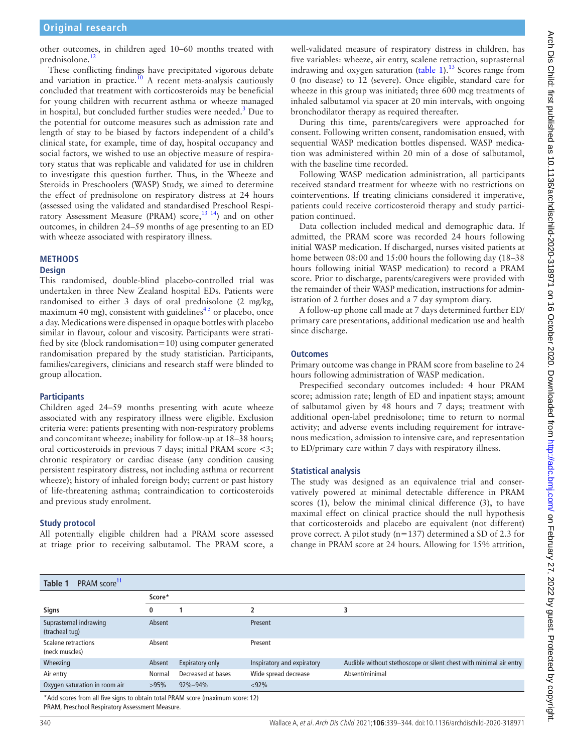other outcomes, in children aged 10–60 months treated with prednisolone.<sup>[12](#page-5-6)</sup>

These conflicting findings have precipitated vigorous debate and variation in practice.<sup>10</sup> A recent meta-analysis cautiously concluded that treatment with corticosteroids may be beneficial for young children with recurrent asthma or wheeze managed in hospital, but concluded further studies were needed.<sup>[3](#page-5-1)</sup> Due to the potential for outcome measures such as admission rate and length of stay to be biased by factors independent of a child's clinical state, for example, time of day, hospital occupancy and social factors, we wished to use an objective measure of respiratory status that was replicable and validated for use in children to investigate this question further. Thus, in the Wheeze and Steroids in Preschoolers (WASP) Study, we aimed to determine the effect of prednisolone on respiratory distress at 24 hours (assessed using the validated and standardised Preschool Respi-ratory Assessment Measure (PRAM) score,<sup>[13 14](#page-5-7)</sup>) and on other outcomes, in children 24–59 months of age presenting to an ED with wheeze associated with respiratory illness.

#### **METHODS**

#### **Design**

This randomised, double-blind placebo-controlled trial was undertaken in three New Zealand hospital EDs. Patients were randomised to either 3 days of oral prednisolone (2 mg/kg, maximum 40 mg), consistent with guidelines<sup>45</sup> or placebo, once a day. Medications were dispensed in opaque bottles with placebo similar in flavour, colour and viscosity. Participants were stratified by site (block randomisation=10) using computer generated randomisation prepared by the study statistician. Participants, families/caregivers, clinicians and research staff were blinded to group allocation.

#### **Participants**

Children aged 24–59 months presenting with acute wheeze associated with any respiratory illness were eligible. Exclusion criteria were: patients presenting with non-respiratory problems and concomitant wheeze; inability for follow-up at 18–38 hours; oral corticosteroids in previous 7 days; initial PRAM score <3; chronic respiratory or cardiac disease (any condition causing persistent respiratory distress, not including asthma or recurrent wheeze); history of inhaled foreign body; current or past history of life-threatening asthma; contraindication to corticosteroids and previous study enrolment.

#### **Study protocol**

All potentially eligible children had a PRAM score assessed at triage prior to receiving salbutamol. The PRAM score, a

well-validated measure of respiratory distress in children, has five variables: wheeze, air entry, scalene retraction, suprasternal indrawing and oxygen saturation [\(table](#page-1-0) 1).<sup>13</sup> Scores range from 0 (no disease) to 12 (severe). Once eligible, standard care for wheeze in this group was initiated; three 600 mcg treatments of inhaled salbutamol via spacer at 20 min intervals, with ongoing bronchodilator therapy as required thereafter.

During this time, parents/caregivers were approached for consent. Following written consent, randomisation ensued, with sequential WASP medication bottles dispensed. WASP medication was administered within 20 min of a dose of salbutamol, with the baseline time recorded.

Following WASP medication administration, all participants received standard treatment for wheeze with no restrictions on cointerventions. If treating clinicians considered it imperative, patients could receive corticosteroid therapy and study participation continued.

Data collection included medical and demographic data. If admitted, the PRAM score was recorded 24 hours following initial WASP medication. If discharged, nurses visited patients at home between 08:00 and 15:00 hours the following day (18–38) hours following initial WASP medication) to record a PRAM score. Prior to discharge, parents/caregivers were provided with the remainder of their WASP medication, instructions for administration of 2 further doses and a 7 day symptom diary.

A follow-up phone call made at 7 days determined further ED/ primary care presentations, additional medication use and health since discharge.

#### **Outcomes**

Primary outcome was change in PRAM score from baseline to 24 hours following administration of WASP medication.

Prespecified secondary outcomes included: 4 hour PRAM score; admission rate; length of ED and inpatient stays; amount of salbutamol given by 48 hours and 7 days; treatment with additional open-label prednisolone; time to return to normal activity; and adverse events including requirement for intravenous medication, admission to intensive care, and representation to ED/primary care within 7 days with respiratory illness.

#### **Statistical analysis**

The study was designed as an equivalence trial and conservatively powered at minimal detectable difference in PRAM scores (1), below the minimal clinical difference (3), to have maximal effect on clinical practice should the null hypothesis that corticosteroids and placebo are equivalent (not different) prove correct. A pilot study (n=137) determined a SD of 2.3 for change in PRAM score at 24 hours. Allowing for 15% attrition,

#### <span id="page-1-0"></span>**Table 1** PRAM score<sup>11</sup> **Signs Score\* 0 1 2 3** Suprasternal indrawing (tracheal tug) Absent **Absent Present Present** Scalene retractions (neck muscles) Absent **Absent** Present Wheezing **Absent Expiratory only** Inspiratory and expiratory Audible without stethoscope or silent chest with minimal air entry Air entry **Normal** Decreased at bases Wide spread decrease Absent/minimal Oxygen saturation in room air >95% 92%–94% <92% \*Add scores from all five signs to obtain total PRAM score (maximum score: 12)

PRAM, Preschool Respiratory Assessment Measure.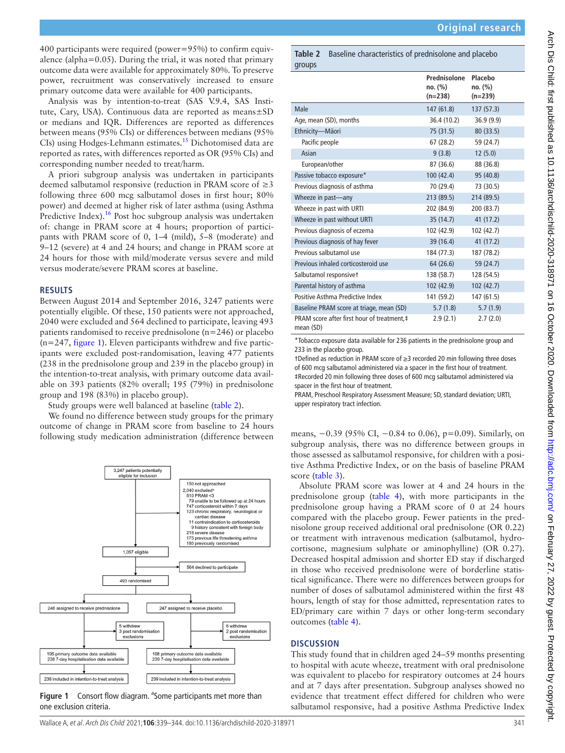400 participants were required (power=95%) to confirm equivalence (alpha=0.05). During the trial, it was noted that primary outcome data were available for approximately 80%. To preserve power, recruitment was conservatively increased to ensure primary outcome data were available for 400 participants.

Analysis was by intention-to-treat (SAS V.9.4, SAS Institute, Cary, USA). Continuous data are reported as means±SD or medians and IQR. Differences are reported as differences between means (95% CIs) or differences between medians (95% CIs) using Hodges-Lehmann estimates[.15](#page-5-9) Dichotomised data are reported as rates, with differences reported as OR (95% CIs) and corresponding number needed to treat/harm.

A priori subgroup analysis was undertaken in participants deemed salbutamol responsive (reduction in PRAM score of  $\geq$ 3 following three 600 mcg salbutamol doses in first hour; 80% power) and deemed at higher risk of later asthma (using Asthma Predictive Index).<sup>[16](#page-5-10)</sup> Post hoc subgroup analysis was undertaken of: change in PRAM score at 4 hours; proportion of participants with PRAM score of 0, 1–4 (mild), 5–8 (moderate) and 9–12 (severe) at 4 and 24 hours; and change in PRAM score at 24 hours for those with mild/moderate versus severe and mild versus moderate/severe PRAM scores at baseline.

#### **RESULTS**

Between August 2014 and September 2016, 3247 patients were potentially eligible. Of these, 150 patients were not approached, 2040 were excluded and 564 declined to participate, leaving 493 patients randomised to receive prednisolone (n=246) or placebo  $(n=247,$  [figure](#page-2-0) 1). Eleven participants withdrew and five participants were excluded post-randomisation, leaving 477 patients (238 in the prednisolone group and 239 in the placebo group) in the intention-to-treat analysis, with primary outcome data available on 393 patients (82% overall; 195 (79%) in prednisolone group and 198 (83%) in placebo group).

#### Study groups were well balanced at baseline ([table](#page-2-1) 2).

We found no difference between study groups for the primary outcome of change in PRAM score from baseline to 24 hours following study medication administration (difference between means, −0.39 (95% CI, −0.84 to 0.06), p=0.09). Similarly, on



<span id="page-2-0"></span>Figure 1 Consort flow diagram. <sup>a</sup>Some participants met more than one exclusion criteria.

<span id="page-2-1"></span>**Table 2** Baseline characteristics of prednisolone and placebo groups

|                                                         | Prednisolone<br>no. (%)<br>$(n=238)$ | Placebo<br>no. (%)<br>$(n=239)$ |
|---------------------------------------------------------|--------------------------------------|---------------------------------|
| Male                                                    | 147(61.8)                            | 137(57.3)                       |
| Age, mean (SD), months                                  | 36.4 (10.2)                          | 36.9(9.9)                       |
| Ethnicity-Māori                                         | 75 (31.5)                            | 80 (33.5)                       |
| Pacific people                                          | 67 (28.2)                            | 59 (24.7)                       |
| Asian                                                   | 9(3.8)                               | 12(5.0)                         |
| European/other                                          | 87 (36.6)                            | 88 (36.8)                       |
| Passive tobacco exposure*                               | 100(42.4)                            | 95 (40.8)                       |
| Previous diagnosis of asthma                            | 70 (29.4)                            | 73 (30.5)                       |
| Wheeze in past-any                                      | 213 (89.5)                           | 214 (89.5)                      |
| Wheeze in past with URTI                                | 202 (84.9)                           | 200 (83.7)                      |
| Wheeze in past without URTI                             | 35(14.7)                             | 41 (17.2)                       |
| Previous diagnosis of eczema                            | 102 (42.9)                           | 102 (42.7)                      |
| Previous diagnosis of hay fever                         | 39 (16.4)                            | 41 (17.2)                       |
| Previous salbutamol use                                 | 184 (77.3)                           | 187 (78.2)                      |
| Previous inhaled corticosteroid use                     | 64 (26.6)                            | 59 (24.7)                       |
| Salbutamol responsivet                                  | 138 (58.7)                           | 128 (54.5)                      |
| Parental history of asthma                              | 102 (42.9)                           | 102(42.7)                       |
| Positive Asthma Predictive Index                        | 141 (59.2)                           | 147 (61.5)                      |
| Baseline PRAM score at triage, mean (SD)                | 5.7(1.8)                             | 5.7(1.9)                        |
| PRAM score after first hour of treatment,#<br>mean (SD) | 2.9(2.1)                             | 2.7(2.0)                        |

\*Tobacco exposure data available for 236 patients in the prednisolone group and 233 in the placebo group.

†Defined as reduction in PRAM score of ≥3 recorded 20 min following three doses of 600 mcg salbutamol administered via a spacer in the first hour of treatment. ‡Recorded 20 min following three doses of 600 mcg salbutamol administered via spacer in the first hour of treatment.

PRAM, Preschool Respiratory Assessment Measure; SD, standard deviation; URTI, upper respiratory tract infection.

subgroup analysis, there was no difference between groups in those assessed as salbutamol responsive, for children with a positive Asthma Predictive Index, or on the basis of baseline PRAM score [\(table](#page-3-0) 3).

Absolute PRAM score was lower at 4 and 24 hours in the prednisolone group ([table](#page-3-1) 4), with more participants in the prednisolone group having a PRAM score of 0 at 24 hours compared with the placebo group. Fewer patients in the prednisolone group received additional oral prednisolone (OR 0.22) or treatment with intravenous medication (salbutamol, hydrocortisone, magnesium sulphate or aminophylline) (OR 0.27). Decreased hospital admission and shorter ED stay if discharged in those who received prednisolone were of borderline statistical significance. There were no differences between groups for number of doses of salbutamol administered within the first 48 hours, length of stay for those admitted, representation rates to ED/primary care within 7 days or other long-term secondary outcomes ([table](#page-3-1) 4).

#### **DISCUSSION**

This study found that in children aged 24–59 months presenting to hospital with acute wheeze, treatment with oral prednisolone was equivalent to placebo for respiratory outcomes at 24 hours and at 7 days after presentation. Subgroup analyses showed no evidence that treatment effect differed for children who were salbutamol responsive, had a positive Asthma Predictive Index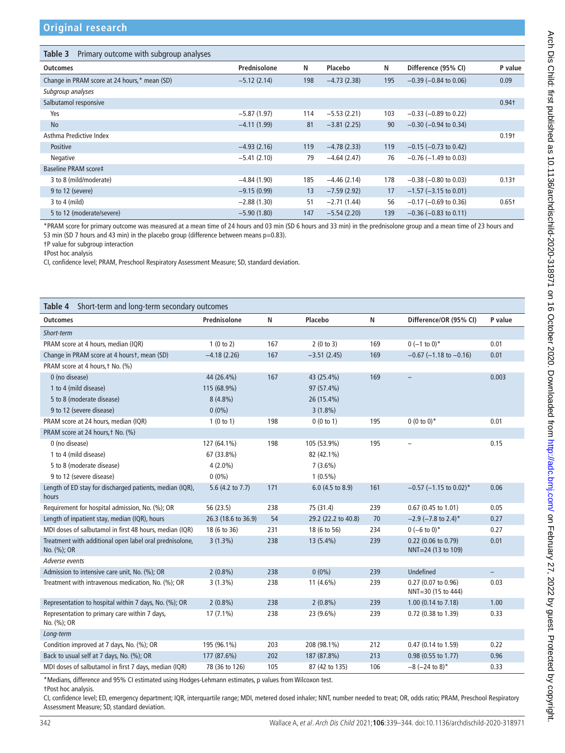<span id="page-3-0"></span>

| Table 3<br>Primary outcome with subgroup analyses |               |     |               |     |                            |                   |
|---------------------------------------------------|---------------|-----|---------------|-----|----------------------------|-------------------|
| <b>Outcomes</b>                                   | Prednisolone  | N   | Placebo       | Ν   | Difference (95% CI)        | P value           |
| Change in PRAM score at 24 hours,* mean (SD)      | $-5.12(2.14)$ | 198 | $-4.73(2.38)$ | 195 | $-0.39$ ( $-0.84$ to 0.06) | 0.09              |
| Subgroup analyses                                 |               |     |               |     |                            |                   |
| Salbutamol responsive                             |               |     |               |     |                            | $0.94+$           |
| Yes                                               | $-5.87(1.97)$ | 114 | $-5.53(2.21)$ | 103 | $-0.33$ ( $-0.89$ to 0.22) |                   |
| <b>No</b>                                         | $-4.11(1.99)$ | 81  | $-3.81(2.25)$ | 90  | $-0.30$ ( $-0.94$ to 0.34) |                   |
| Asthma Predictive Index                           |               |     |               |     |                            | 0.19 <sub>†</sub> |
| Positive                                          | $-4.93(2.16)$ | 119 | $-4.78(2.33)$ | 119 | $-0.15$ ( $-0.73$ to 0.42) |                   |
| Negative                                          | $-5.41(2.10)$ | 79  | $-4.64(2.47)$ | 76  | $-0.76$ ( $-1.49$ to 0.03) |                   |
| Baseline PRAM score‡                              |               |     |               |     |                            |                   |
| 3 to 8 (mild/moderate)                            | $-4.84(1.90)$ | 185 | $-4.46(2.14)$ | 178 | $-0.38$ ( $-0.80$ to 0.03) | $0.13+$           |
| 9 to 12 (severe)                                  | $-9.15(0.99)$ | 13  | $-7.59(2.92)$ | 17  | $-1.57$ ( $-3.15$ to 0.01) |                   |
| $3$ to $4$ (mild)                                 | $-2.88(1.30)$ | 51  | $-2.71(1.44)$ | 56  | $-0.17$ ( $-0.69$ to 0.36) | $0.65+$           |
| 5 to 12 (moderate/severe)                         | $-5.90(1.80)$ | 147 | $-5.54(2.20)$ | 139 | $-0.36$ ( $-0.83$ to 0.11) |                   |

\*PRAM score for primary outcome was measured at a mean time of 24 hours and 03 min (SD 6 hours and 33 min) in the prednisolone group and a mean time of 23 hours and 53 min (SD 7 hours and 43 min) in the placebo group (difference between means p=0.83).

†P value for subgroup interaction

‡Post hoc analysis

CI, confidence level; PRAM, Preschool Respiratory Assessment Measure; SD, standard deviation.

<span id="page-3-1"></span>

| Short-term and long-term secondary outcomes<br>Table 4                 |                     |     |                     |     |                                           |                          |  |  |
|------------------------------------------------------------------------|---------------------|-----|---------------------|-----|-------------------------------------------|--------------------------|--|--|
| <b>Outcomes</b>                                                        | Prednisolone        | N   | <b>Placebo</b>      | N   | Difference/OR (95% CI)                    | P value                  |  |  |
| Short-term                                                             |                     |     |                     |     |                                           |                          |  |  |
| PRAM score at 4 hours, median (IQR)                                    | 1(0 to 2)           | 167 | 2(0 to 3)           | 169 | $0$ (-1 to 0) <sup>*</sup>                | 0.01                     |  |  |
| Change in PRAM score at 4 hourst, mean (SD)                            | $-4.18(2.26)$       | 167 | $-3.51(2.45)$       | 169 | $-0.67$ (-1.18 to $-0.16$ )               | 0.01                     |  |  |
| PRAM score at 4 hours, † No. (%)                                       |                     |     |                     |     |                                           |                          |  |  |
| 0 (no disease)                                                         | 44 (26.4%)          | 167 | 43 (25.4%)          | 169 | $\equiv$                                  | 0.003                    |  |  |
| 1 to 4 (mild disease)                                                  | 115 (68.9%)         |     | 97 (57.4%)          |     |                                           |                          |  |  |
| 5 to 8 (moderate disease)                                              | $8(4.8\%)$          |     | 26 (15.4%)          |     |                                           |                          |  |  |
| 9 to 12 (severe disease)                                               | $0(0\%)$            |     | $3(1.8\%)$          |     |                                           |                          |  |  |
| PRAM score at 24 hours, median (IQR)                                   | 1(0 to 1)           | 198 | 0(0 to 1)           | 195 | $0(0 to 0)^*$                             | 0.01                     |  |  |
| PRAM score at 24 hours, † No. (%)                                      |                     |     |                     |     |                                           |                          |  |  |
| 0 (no disease)                                                         | 127 (64.1%)         | 198 | 105 (53.9%)         | 195 |                                           | 0.15                     |  |  |
| 1 to 4 (mild disease)                                                  | 67 (33.8%)          |     | 82 (42.1%)          |     |                                           |                          |  |  |
| 5 to 8 (moderate disease)                                              | $4(2.0\%)$          |     | $7(3.6\%)$          |     |                                           |                          |  |  |
| 9 to 12 (severe disease)                                               | $0(0\%)$            |     | $1(0.5\%)$          |     |                                           |                          |  |  |
| Length of ED stay for discharged patients, median (IQR),<br>hours      | 5.6 (4.2 to 7.7)    | 171 | 6.0 (4.5 to 8.9)    | 161 | $-0.57$ (-1.15 to 0.02) <sup>*</sup>      | 0.06                     |  |  |
| Requirement for hospital admission, No. (%); OR                        | 56 (23.5)           | 238 | 75 (31.4)           | 239 | 0.67 (0.45 to 1.01)                       | 0.05                     |  |  |
| Length of inpatient stay, median (IQR), hours                          | 26.3 (18.6 to 36.9) | 54  | 29.2 (22.2 to 40.8) | 70  | $-2.9$ (-7.8 to 2.4)*                     | 0.27                     |  |  |
| MDI doses of salbutamol in first 48 hours, median (IQR)                | 18 (6 to 36)        | 231 | 18 (6 to 56)        | 234 | $0 (-6 to 0)^*$                           | 0.27                     |  |  |
| Treatment with additional open label oral prednisolone,<br>No. (%); OR | $3(1.3\%)$          | 238 | $13(5.4\%)$         | 239 | 0.22 (0.06 to 0.79)<br>NNT=24 (13 to 109) | 0.01                     |  |  |
| Adverse events                                                         |                     |     |                     |     |                                           |                          |  |  |
| Admission to intensive care unit, No. (%); OR                          | $2(0.8\%)$          | 238 | $0(0\%)$            | 239 | Undefined                                 | $\overline{\phantom{m}}$ |  |  |
| Treatment with intravenous medication, No. (%); OR                     | $3(1.3\%)$          | 238 | $11(4.6\%)$         | 239 | 0.27 (0.07 to 0.96)<br>NNT=30 (15 to 444) | 0.03                     |  |  |
| Representation to hospital within 7 days, No. (%); OR                  | $2(0.8\%)$          | 238 | $2(0.8\%)$          | 239 | 1.00 (0.14 to 7.18)                       | 1.00                     |  |  |
| Representation to primary care within 7 days,<br>No. (%); OR           | $17(7.1\%)$         | 238 | 23 (9.6%)           | 239 | 0.72 (0.38 to 1.39)                       | 0.33                     |  |  |
| Long-term                                                              |                     |     |                     |     |                                           |                          |  |  |
| Condition improved at 7 days, No. (%); OR                              | 195 (96.1%)         | 203 | 208 (98.1%)         | 212 | 0.47 (0.14 to 1.59)                       | 0.22                     |  |  |
| Back to usual self at 7 days, No. (%); OR                              | 177 (87.6%)         | 202 | 187 (87.8%)         | 213 | 0.98 (0.55 to 1.77)                       | 0.96                     |  |  |
| MDI doses of salbutamol in first 7 days, median (IQR)                  | 78 (36 to 126)      | 105 | 87 (42 to 135)      | 106 | $-8$ (-24 to 8)*                          | 0.33                     |  |  |

\*Medians, difference and 95% CI estimated using Hodges-Lehmann estimates, p values from Wilcoxon test. †Post hoc analysis.

CI, confidence level; ED, emergency department; IQR, interquartile range; MDI, metered dosed inhaler; NNT, number needed to treat; OR, odds ratio; PRAM, Preschool Respiratory Assessment Measure; SD, standard deviation.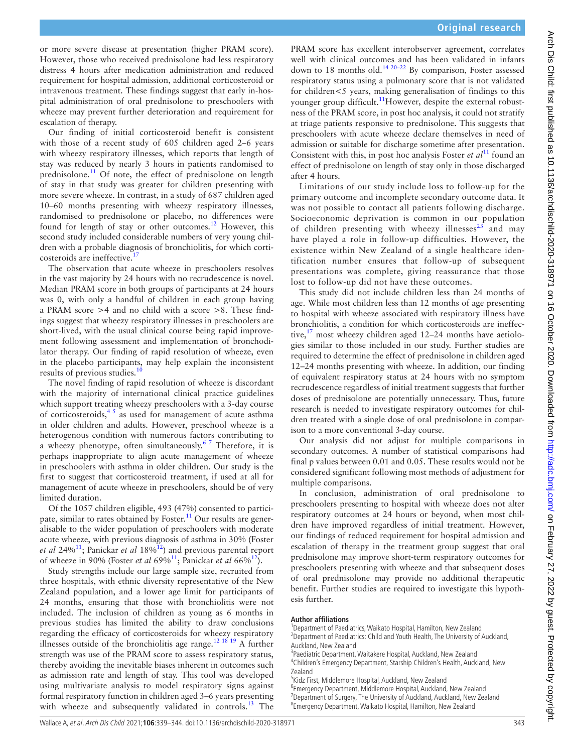or more severe disease at presentation (higher PRAM score). However, those who received prednisolone had less respiratory distress 4 hours after medication administration and reduced requirement for hospital admission, additional corticosteroid or intravenous treatment. These findings suggest that early in-hospital administration of oral prednisolone to preschoolers with wheeze may prevent further deterioration and requirement for escalation of therapy.

Our finding of initial corticosteroid benefit is consistent with those of a recent study of 605 children aged 2–6 years with wheezy respiratory illnesses, which reports that length of stay was reduced by nearly 3 hours in patients randomised to prednisolone.<sup>[11](#page-5-5)</sup> Of note, the effect of prednisolone on length of stay in that study was greater for children presenting with more severe wheeze. In contrast, in a study of 687 children aged 10–60 months presenting with wheezy respiratory illnesses, randomised to prednisolone or placebo, no differences were found for length of stay or other outcomes.<sup>12</sup> However, this second study included considerable numbers of very young children with a probable diagnosis of bronchiolitis, for which corticosteroids are ineffective.<sup>1</sup>

The observation that acute wheeze in preschoolers resolves in the vast majority by 24 hours with no recrudescence is novel. Median PRAM score in both groups of participants at 24 hours was 0, with only a handful of children in each group having a PRAM score >4 and no child with a score >8. These findings suggest that wheezy respiratory illnesses in preschoolers are short-lived, with the usual clinical course being rapid improvement following assessment and implementation of bronchodilator therapy. Our finding of rapid resolution of wheeze, even in the placebo participants, may help explain the inconsistent results of previous studies.<sup>[10](#page-5-4)</sup>

The novel finding of rapid resolution of wheeze is discordant with the majority of international clinical practice guidelines which support treating wheezy preschoolers with a 3-day course of corticosteroids,  $4<sup>5</sup>$  as used for management of acute asthma in older children and adults. However, preschool wheeze is a heterogenous condition with numerous factors contributing to a wheezy phenotype, often simultaneously.<sup>[6 7](#page-5-2)</sup> Therefore, it is perhaps inappropriate to align acute management of wheeze in preschoolers with asthma in older children. Our study is the first to suggest that corticosteroid treatment, if used at all for management of acute wheeze in preschoolers, should be of very limited duration.

Of the 1057 children eligible, 493 (47%) consented to participate, similar to rates obtained by Foster.<sup>11</sup> Our results are generalisable to the wider population of preschoolers with moderate acute wheeze, with previous diagnosis of asthma in 30% (Foster *et al* 24%<sup>[11](#page-5-5)</sup>; Panickar *et al* 18%<sup>12</sup>) and previous parental report of wheeze in 90% (Foster *et al* 69%[11;](#page-5-5) Panickar *et al* 66%[12\)](#page-5-6).

Study strengths include our large sample size, recruited from three hospitals, with ethnic diversity representative of the New Zealand population, and a lower age limit for participants of 24 months, ensuring that those with bronchiolitis were not included. The inclusion of children as young as 6 months in previous studies has limited the ability to draw conclusions regarding the efficacy of corticosteroids for wheezy respiratory illnesses outside of the bronchiolitis age range.<sup>12 18 19</sup> A further strength was use of the PRAM score to assess respiratory status, thereby avoiding the inevitable biases inherent in outcomes such as admission rate and length of stay. This tool was developed using multivariate analysis to model respiratory signs against formal respiratory function in children aged 3–6 years presenting with wheeze and subsequently validated in controls.<sup>13</sup> The

PRAM score has excellent interobserver agreement, correlates well with clinical outcomes and has been validated in infants down to 18 months old[.14 20–22](#page-5-12) By comparison, Foster assessed respiratory status using a pulmonary score that is not validated for children<5 years, making generalisation of findings to this younger group difficult.<sup>[11](#page-5-5)</sup>However, despite the external robustness of the PRAM score, in post hoc analysis, it could not stratify at triage patients responsive to prednisolone. This suggests that preschoolers with acute wheeze declare themselves in need of admission or suitable for discharge sometime after presentation. Consistent with this, in post hoc analysis Foster *et al*<sup>11</sup> found an effect of prednisolone on length of stay only in those discharged after 4 hours.

Limitations of our study include loss to follow-up for the primary outcome and incomplete secondary outcome data. It was not possible to contact all patients following discharge. Socioeconomic deprivation is common in our population of children presenting with wheezy illnesses $^{23}$  and may have played a role in follow-up difficulties. However, the existence within New Zealand of a single healthcare identification number ensures that follow-up of subsequent presentations was complete, giving reassurance that those lost to follow-up did not have these outcomes.

This study did not include children less than 24 months of age. While most children less than 12 months of age presenting to hospital with wheeze associated with respiratory illness have bronchiolitis, a condition for which corticosteroids are ineffective, $17 \text{ most whereby children aged } 12-24 \text{ months have action}$ gies similar to those included in our study. Further studies are required to determine the effect of prednisolone in children aged 12–24 months presenting with wheeze. In addition, our finding of equivalent respiratory status at 24 hours with no symptom recrudescence regardless of initial treatment suggests that further doses of prednisolone are potentially unnecessary. Thus, future research is needed to investigate respiratory outcomes for children treated with a single dose of oral prednisolone in comparison to a more conventional 3-day course.

Our analysis did not adjust for multiple comparisons in secondary outcomes. A number of statistical comparisons had final p values between 0.01 and 0.05. These results would not be considered significant following most methods of adjustment for multiple comparisons.

In conclusion, administration of oral prednisolone to preschoolers presenting to hospital with wheeze does not alter respiratory outcomes at 24 hours or beyond, when most children have improved regardless of initial treatment. However, our findings of reduced requirement for hospital admission and escalation of therapy in the treatment group suggest that oral prednisolone may improve short-term respiratory outcomes for preschoolers presenting with wheeze and that subsequent doses of oral prednisolone may provide no additional therapeutic benefit. Further studies are required to investigate this hypothesis further.

#### **Author affiliations**

<sup>1</sup>Department of Paediatrics, Waikato Hospital, Hamilton, New Zealand <sup>2</sup> Department of Paediatrics: Child and Youth Health, The University of Auckland,

Auckland, New Zealand

- <sup>3</sup>Paediatric Department, Waitakere Hospital, Auckland, New Zealand
- 4 Children's Emergency Department, Starship Children's Health, Auckland, New Zealand
- 5 Kidz First, Middlemore Hospital, Auckland, New Zealand
- 6 Emergency Department, Middlemore Hospital, Auckland, New Zealand <sup>7</sup> Department of Surgery, The University of Auckland, Auckland, New Zealand <sup>8</sup> Emergency Department, Waikato Hospital, Hamilton, New Zealand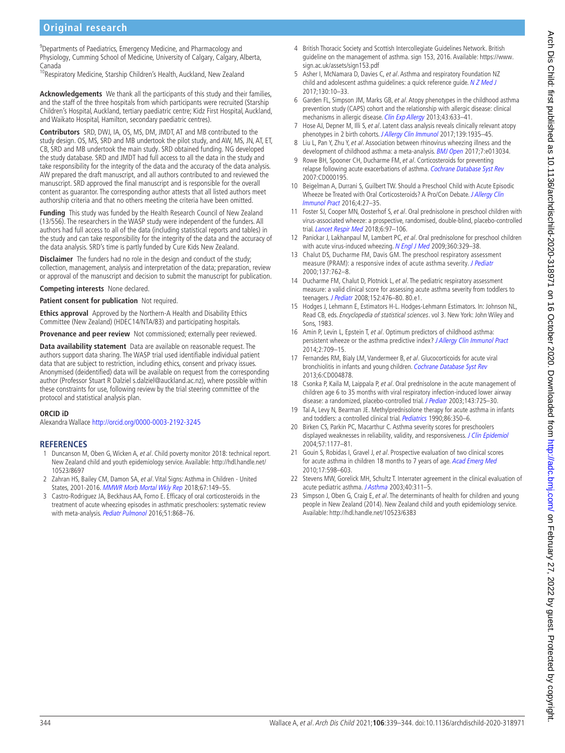### **Original research**

9 Departments of Paediatrics, Emergency Medicine, and Pharmacology and Physiology, Cumming School of Medicine, University of Calgary, Calgary, Alberta, Canada

<sup>10</sup>Respiratory Medicine, Starship Children's Health, Auckland, New Zealand

**Acknowledgements** We thank all the participants of this study and their families, and the staff of the three hospitals from which participants were recruited (Starship Children's Hospital, Auckland, tertiary paediatric centre; Kidz First Hospital, Auckland, and Waikato Hospital, Hamilton, secondary paediatric centres).

**Contributors** SRD, DWJ, IA, OS, MS, DM, JMDT, AT and MB contributed to the study design. OS, MS, SRD and MB undertook the pilot study, and AW, MS, JN, AT, ET, CB, SRD and MB undertook the main study. SRD obtained funding. NG developed the study database. SRD and JMDT had full access to all the data in the study and take responsibility for the integrity of the data and the accuracy of the data analysis. AW prepared the draft manuscript, and all authors contributed to and reviewed the manuscript. SRD approved the final manuscript and is responsible for the overall content as guarantor. The corresponding author attests that all listed authors meet authorship criteria and that no others meeting the criteria have been omitted.

**Funding** This study was funded by the Health Research Council of New Zealand (13/556). The researchers in the WASP study were independent of the funders. All authors had full access to all of the data (including statistical reports and tables) in the study and can take responsibility for the integrity of the data and the accuracy of the data analysis. SRD's time is partly funded by Cure Kids New Zealand.

**Disclaimer** The funders had no role in the design and conduct of the study: collection, management, analysis and interpretation of the data; preparation, review or approval of the manuscript and decision to submit the manuscript for publication.

**Competing interests** None declared.

**Patient consent for publication** Not required.

**Ethics approval** Approved by the Northern-A Health and Disability Ethics Committee (New Zealand) (HDEC14/NTA/83) and participating hospitals.

**Provenance and peer review** Not commissioned; externally peer reviewed.

**Data availability statement** Data are available on reasonable request. The authors support data sharing. The WASP trial used identifiable individual patient data that are subject to restriction, including ethics, consent and privacy issues. Anonymised (deidentified) data will be available on request from the corresponding author (Professor Stuart R Dalziel s.dalziel@auckland.ac.nz), where possible within these constraints for use, following review by the trial steering committee of the protocol and statistical analysis plan.

#### **ORCID iD**

Alexandra Wallace<http://orcid.org/0000-0003-2192-3245>

#### **REFERENCES**

- <span id="page-5-0"></span>1 Duncanson M, Oben G, Wicken A, et al. Child poverty monitor 2018: technical report. New Zealand child and youth epidemiology service. Available: [http://hdl.handle.net/](http://hdl.handle.net/10523/8697) [10523/8697](http://hdl.handle.net/10523/8697)
- 2 Zahran HS, Bailey CM, Damon SA, et al. Vital Signs: Asthma in Children United States, 2001-2016. [MMWR Morb Mortal Wkly Rep](http://dx.doi.org/10.15585/mmwr.mm6705e1) 2018;67:149-55.
- <span id="page-5-1"></span>3 Castro-Rodriguez JA, Beckhaus AA, Forno E. Efficacy of oral corticosteroids in the treatment of acute wheezing episodes in asthmatic preschoolers: systematic review with meta-analysis. [Pediatr Pulmonol](http://dx.doi.org/10.1002/ppul.23429) 2016;51:868-76.
- <span id="page-5-8"></span>4 British Thoracic Society and Scottish Intercollegiate Guidelines Network. British guideline on the management of asthma. sign 153, 2016. Available: [https://www.](https://www.sign.ac.uk/assets/sign153.pdf) [sign.ac.uk/assets/sign153.pdf](https://www.sign.ac.uk/assets/sign153.pdf)
- 5 Asher I, McNamara D, Davies C, et al. Asthma and respiratory Foundation NZ child and adolescent asthma guidelines: a guick reference guide. [N Z Med J](http://www.ncbi.nlm.nih.gov/pubmed/29197898) 2017;130:10–33.
- <span id="page-5-2"></span>6 Garden FL, Simpson JM, Marks GB, et al. Atopy phenotypes in the childhood asthma prevention study (CAPS) cohort and the relationship with allergic disease: clinical mechanisms in allergic disease. [Clin Exp Allergy](http://dx.doi.org/10.1111/cea.12095) 2013;43:633-41.
- 7 Hose AJ, Depner M, Illi S, et al. Latent class analysis reveals clinically relevant atopy phenotypes in 2 birth cohorts. [J Allergy Clin Immunol](http://dx.doi.org/10.1016/j.jaci.2016.08.046) 2017;139:1935-45.
- Liu L, Pan Y, Zhu Y, et al. Association between rhinovirus wheezing illness and the development of childhood asthma: a meta-analysis. [BMJ Open](http://dx.doi.org/10.1136/bmjopen-2016-013034) 2017;7:e013034.
- <span id="page-5-3"></span>9 Rowe BH, Spooner CH, Ducharme FM, et al. Corticosteroids for preventing relapse following acute exacerbations of asthma. [Cochrane Database Syst Rev](http://dx.doi.org/10.1002/14651858.CD000195.pub2) 2007:CD000195.
- <span id="page-5-4"></span>10 Beigelman A, Durrani S, Guilbert TW. Should a Preschool Child with Acute Episodic Wheeze be Treated with Oral Corticosteroids? A Pro/Con Debate. *J Allergy Clin* [Immunol Pract](http://dx.doi.org/10.1016/j.jaip.2015.10.017) 2016;4:27–35.
- <span id="page-5-5"></span>11 Foster SJ, Cooper MN, Oosterhof S, et al. Oral prednisolone in preschool children with virus-associated wheeze: a prospective, randomised, double-blind, placebo-controlled trial. [Lancet Respir Med](http://dx.doi.org/10.1016/S2213-2600(18)30008-0) 2018;6:97–106.
- <span id="page-5-6"></span>12 Panickar J, Lakhanpaul M, Lambert PC, et al. Oral prednisolone for preschool children with acute virus-induced wheezing. [N Engl J Med](http://dx.doi.org/10.1056/NEJMoa0804897) 2009;360:329-38.
- <span id="page-5-7"></span>13 Chalut DS, Ducharme FM, Davis GM. The preschool respiratory assessment measure (PRAM): a responsive index of acute asthma severity. *[J Pediatr](http://dx.doi.org/10.1067/mpd.2000.110121)* 2000;137:762–8.
- <span id="page-5-12"></span>14 Ducharme FM, Chalut D, Plotnick L, et al. The pediatric respiratory assessment measure: a valid clinical score for assessing acute asthma severity from toddlers to teenagers. [J Pediatr](http://dx.doi.org/10.1016/j.jpeds.2007.08.034) 2008;152:476-80. 80.e1.
- <span id="page-5-9"></span>15 Hodges J, Lehmann E, Estimators H-L. Hodges-Lehmann Estimators. In: Johnson NL, Read CB, eds. Encyclopedia of statistical sciences. vol 3. New York: John Wiley and Sons, 1983.
- <span id="page-5-10"></span>16 Amin P, Levin L, Epstein T, et al. Optimum predictors of childhood asthma: persistent wheeze or the asthma predictive index? [J Allergy Clin Immunol Pract](http://dx.doi.org/10.1016/j.jaip.2014.08.009) 2014;2:709–15.
- <span id="page-5-11"></span>17 Fernandes RM, Bialy LM, Vandermeer B, et al. Glucocorticoids for acute viral bronchiolitis in infants and young children. [Cochrane Database Syst Rev](http://dx.doi.org/10.1002/14651858.CD004878.pub4) 2013;6:CD004878.
- 18 Csonka P, Kaila M, Laippala P, et al. Oral prednisolone in the acute management of children age 6 to 35 months with viral respiratory infection-induced lower airway disease: a randomized, placebo-controlled trial. [J Pediatr](http://dx.doi.org/10.1067/S0022-3476(03)00498-0) 2003;143:725-30.
- 19 Tal A, Levy N, Bearman JE. Methylprednisolone therapy for acute asthma in infants and toddlers: a controlled clinical trial. [Pediatrics](http://www.ncbi.nlm.nih.gov/pubmed/2201941) 1990;86:350-6.
- 20 Birken CS, Parkin PC, Macarthur C. Asthma severity scores for preschoolers displayed weaknesses in reliability, validity, and responsiveness. [J Clin Epidemiol](http://dx.doi.org/10.1016/j.jclinepi.2004.02.016) 2004;57:1177–81.
- 21 Gouin S, Robidas I, Gravel J, et al. Prospective evaluation of two clinical scores for acute asthma in children 18 months to 7 years of age. [Acad Emerg Med](http://dx.doi.org/10.1111/j.1553-2712.2010.00775.x) 2010;17:598–603.
- 22 Stevens MW, Gorelick MH, Schultz T. Interrater agreement in the clinical evaluation of acute pediatric asthma. [J Asthma](http://dx.doi.org/10.1081/JAS-120018630) 2003;40:311–5.
- <span id="page-5-13"></span>23 Simpson J, Oben G, Craig E, et al. The determinants of health for children and young people in New Zealand (2014). New Zealand child and youth epidemiology service. Available:<http://hdl.handle.net/10523/6383>